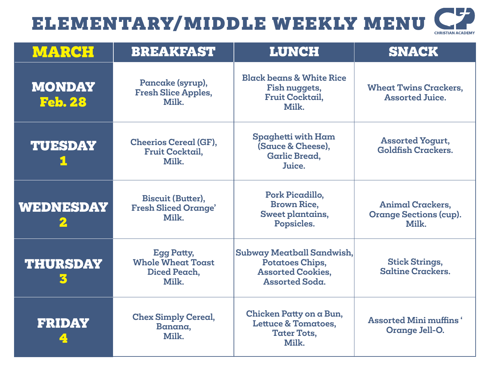| <b>CHRISTIAN ACADEMY</b> |
|--------------------------|

| <b>MARCH</b>                    | <b>BREAKFAST</b>                                                       | <b>LUNCH</b>                                                                                             | <b>SNACK</b>                                                      |
|---------------------------------|------------------------------------------------------------------------|----------------------------------------------------------------------------------------------------------|-------------------------------------------------------------------|
| <b>MONDAY</b><br><b>Feb. 28</b> | Pancake (syrup),<br><b>Fresh Slice Apples,</b><br>Milk.                | <b>Black beans &amp; White Rice</b><br>Fish nuggets,<br><b>Fruit Cocktail,</b><br>Milk.                  | <b>Wheat Twins Crackers,</b><br><b>Assorted Juice.</b>            |
| <b>TUESDAY</b>                  | <b>Cheerios Cereal (GF),</b><br><b>Fruit Cocktail,</b><br>Milk.        | Spaghetti with Ham<br>(Sauce & Cheese),<br><b>Garlic Bread,</b><br>Juice.                                | <b>Assorted Yogurt,</b><br><b>Goldfish Crackers.</b>              |
| <b>WEDNESDAY</b>                | <b>Biscuit (Butter),</b><br><b>Fresh Sliced Orange'</b><br>Milk.       | Pork Picadillo,<br><b>Brown Rice,</b><br>Sweet plantains,<br>Popsicles.                                  | <b>Animal Crackers,</b><br><b>Orange Sections (cup).</b><br>Milk. |
| <b>THURSDAY</b>                 | <b>Egg Patty,</b><br><b>Whole Wheat Toast</b><br>Diced Peach.<br>Milk. | Subway Meatball Sandwish,<br><b>Potatoes Chips,</b><br><b>Assorted Cookies,</b><br><b>Assorted Soda.</b> | <b>Stick Strings,</b><br><b>Saltine Crackers.</b>                 |
| <b>FRIDAY</b>                   | <b>Chex Simply Cereal,</b><br>Banana,<br>Milk.                         | Chicken Patty on a Bun,<br><b>Lettuce &amp; Tomatoes,</b><br><b>Tater Tots,</b><br>Milk.                 | <b>Assorted Mini muffins</b> '<br>Orange Jell-O.                  |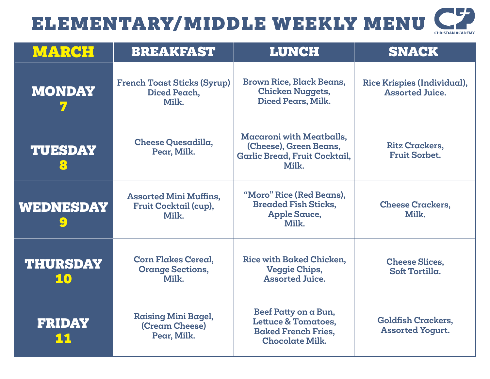| <b>CHRISTIAN ACADEMY</b> |
|--------------------------|

| <b>MARCH</b>          | <b>BREAKFAST</b>                                                | <b>LUNCH</b>                                                                                                   | <b>SNACK</b>                                                 |
|-----------------------|-----------------------------------------------------------------|----------------------------------------------------------------------------------------------------------------|--------------------------------------------------------------|
| <b>MONDAY</b>         | <b>French Toast Sticks (Syrup)</b><br>Diced Peach,<br>Milk.     | <b>Brown Rice, Black Beans,</b><br><b>Chicken Nuggets,</b><br>Diced Pears, Milk.                               | <b>Rice Krispies (Individual),</b><br><b>Assorted Juice.</b> |
| <b>TUESDAY</b><br>8   | <b>Cheese Quesadilla,</b><br>Pear, Milk.                        | <b>Macaroni with Meatballs,</b><br>(Cheese), Green Beans,<br>Garlic Bread, Fruit Cocktail,<br>Milk.            | <b>Ritz Crackers,</b><br><b>Fruit Sorbet.</b>                |
| WEDNESDAY             | <b>Assorted Mini Muffins,</b><br>Fruit Cocktail (cup),<br>Milk. | "Moro" Rice (Red Beans),<br><b>Breaded Fish Sticks,</b><br><b>Apple Sauce,</b><br>Milk.                        | <b>Cheese Crackers,</b><br>Milk.                             |
| <b>THURSDAY</b><br>10 | <b>Corn Flakes Cereal,</b><br><b>Orange Sections,</b><br>Milk.  | Rice with Baked Chicken,<br><b>Veggie Chips,</b><br><b>Assorted Juice.</b>                                     | <b>Cheese Slices,</b><br>Soft Tortilla.                      |
| <b>FRIDAY</b><br>11   | <b>Raising Mini Bagel,</b><br>(Cream Cheese)<br>Pear, Milk.     | Beef Patty on a Bun,<br><b>Lettuce &amp; Tomatoes,</b><br><b>Baked French Fries,</b><br><b>Chocolate Milk.</b> | <b>Goldfish Crackers,</b><br><b>Assorted Yogurt.</b>         |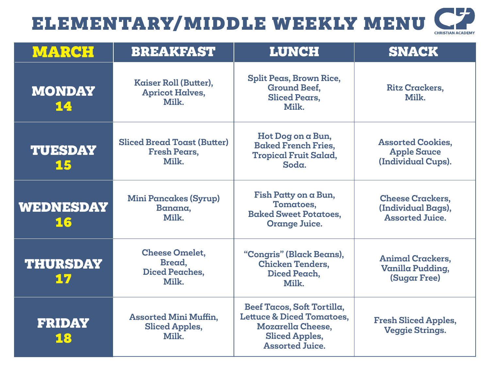| <b>CHRISTIAN ACADEMY</b> |  |
|--------------------------|--|

| <b>MARCH</b>           | <b>BREAKFAST</b>                                                   | <b>LUNCH</b>                                                                                                                                      | <b>SNACK</b>                                                            |
|------------------------|--------------------------------------------------------------------|---------------------------------------------------------------------------------------------------------------------------------------------------|-------------------------------------------------------------------------|
| <b>MONDAY</b><br>14    | Kaiser Roll (Butter),<br><b>Apricot Halves,</b><br>Milk.           | Split Peas, Brown Rice,<br><b>Ground Beef,</b><br><b>Sliced Pears,</b><br>Milk.                                                                   | <b>Ritz Crackers,</b><br>Milk.                                          |
| <b>TUESDAY</b><br>15   | <b>Sliced Bread Toast (Butter)</b><br><b>Fresh Pears,</b><br>Milk. | Hot Dog on a Bun,<br><b>Baked French Fries.</b><br><b>Tropical Fruit Salad,</b><br>Soda.                                                          | <b>Assorted Cookies,</b><br><b>Apple Sauce</b><br>(Individual Cups).    |
| <b>WEDNESDAY</b><br>16 | <b>Mini Pancakes (Syrup)</b><br>Banana,<br>Milk.                   | Fish Patty on a Bun,<br>Tomatoes,<br><b>Baked Sweet Potatoes,</b><br>Orange Juice.                                                                | <b>Cheese Crackers,</b><br>(Individual Bags),<br><b>Assorted Juice.</b> |
| <b>THURSDAY</b><br>17  | <b>Cheese Omelet,</b><br>Bread,<br><b>Diced Peaches,</b><br>Milk.  | "Congris" (Black Beans),<br><b>Chicken Tenders,</b><br>Diced Peach,<br>Milk.                                                                      | <b>Animal Crackers.</b><br>Vanilla Pudding,<br><b>(Sugar Free)</b>      |
| <b>FRIDAY</b><br>18    | <b>Assorted Mini Muffin,</b><br><b>Sliced Apples,</b><br>Milk.     | Beef Tacos, Soft Tortilla,<br><b>Lettuce &amp; Diced Tomatoes,</b><br><b>Mozarella Cheese,</b><br><b>Sliced Apples,</b><br><b>Assorted Juice.</b> | <b>Fresh Sliced Apples,</b><br><b>Veggie Strings.</b>                   |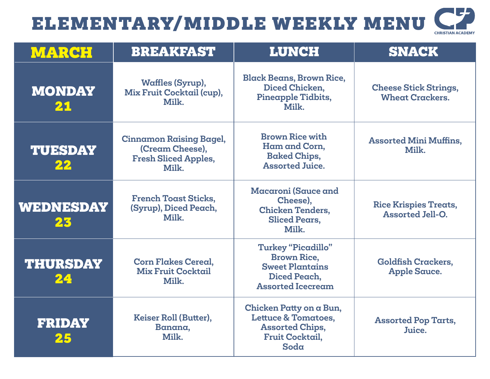| <b>CHRISTIAN ACADEMY</b> |
|--------------------------|
|                          |

| <b>MARCH</b>           | <b>BREAKFAST</b>                                                                          | <b>LUNCH</b>                                                                                                          | <b>SNACK</b>                                            |
|------------------------|-------------------------------------------------------------------------------------------|-----------------------------------------------------------------------------------------------------------------------|---------------------------------------------------------|
| <b>MONDAY</b><br>21    | Waffles (Syrup),<br>Mix Fruit Cocktail (cup),<br>Milk.                                    | <b>Black Beans, Brown Rice,</b><br>Diced Chicken,<br>Pineapple Tidbits,<br>Milk.                                      | <b>Cheese Stick Strings,</b><br><b>Wheat Crackers.</b>  |
| <b>TUESDAY</b><br>22   | <b>Cinnamon Raising Bagel,</b><br>(Cream Cheese),<br><b>Fresh Sliced Apples,</b><br>Milk. | <b>Brown Rice with</b><br>Ham and Corn,<br><b>Baked Chips,</b><br><b>Assorted Juice.</b>                              | <b>Assorted Mini Muffins,</b><br>Milk.                  |
| <b>WEDNESDAY</b><br>23 | <b>French Toast Sticks,</b><br>(Syrup), Diced Peach,<br>Milk.                             | Macaroni (Sauce and<br>Cheese),<br><b>Chicken Tenders,</b><br><b>Sliced Pears,</b><br>Milk.                           | <b>Rice Krispies Treats,</b><br><b>Assorted Jell-O.</b> |
| <b>THURSDAY</b><br>24  | <b>Corn Flakes Cereal,</b><br><b>Mix Fruit Cocktail</b><br>Milk.                          | <b>Turkey "Picadillo"</b><br><b>Brown Rice,</b><br><b>Sweet Plantains</b><br>Diced Peach,<br><b>Assorted Icecream</b> | <b>Goldfish Crackers,</b><br><b>Apple Sauce.</b>        |
| <b>FRIDAY</b><br>25    | Keiser Roll (Butter),<br>Banana,<br>Milk.                                                 | Chicken Patty on a Bun,<br><b>Lettuce &amp; Tomatoes.</b><br><b>Assorted Chips,</b><br><b>Fruit Cocktail,</b><br>Soda | <b>Assorted Pop Tarts,</b><br>Juice.                    |